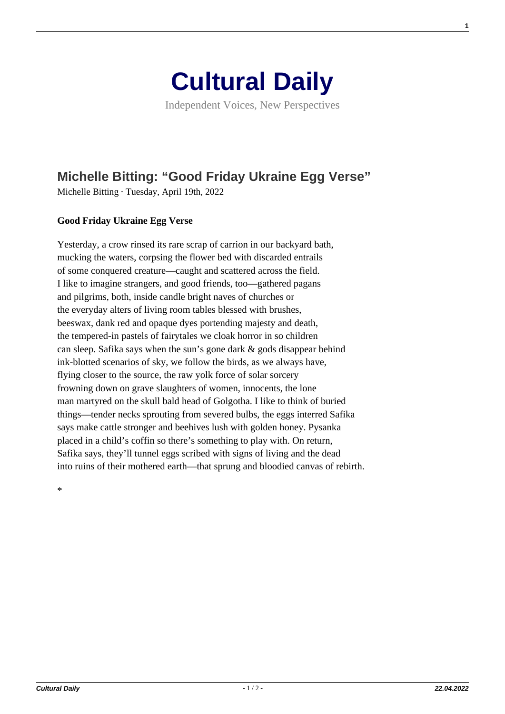

Independent Voices, New Perspectives

## **[Michelle Bitting: "Good Friday Ukraine Egg Verse"](https://culturaldaily.com/michelle-bitting-good-friday-ukraine-egg-verse/)**

Michelle Bitting · Tuesday, April 19th, 2022

## **Good Friday Ukraine Egg Verse**

Yesterday, a crow rinsed its rare scrap of carrion in our backyard bath, mucking the waters, corpsing the flower bed with discarded entrails of some conquered creature—caught and scattered across the field. I like to imagine strangers, and good friends, too—gathered pagans and pilgrims, both, inside candle bright naves of churches or the everyday alters of living room tables blessed with brushes, beeswax, dank red and opaque dyes portending majesty and death, the tempered-in pastels of fairytales we cloak horror in so children can sleep. Safika says when the sun's gone dark & gods disappear behind ink-blotted scenarios of sky, we follow the birds, as we always have, flying closer to the source, the raw yolk force of solar sorcery frowning down on grave slaughters of women, innocents, the lone man martyred on the skull bald head of Golgotha. I like to think of buried things—tender necks sprouting from severed bulbs, the eggs interred Safika says make cattle stronger and beehives lush with golden honey. Pysanka placed in a child's coffin so there's something to play with. On return, Safika says, they'll tunnel eggs scribed with signs of living and the dead into ruins of their mothered earth—that sprung and bloodied canvas of rebirth.

\*

**1**